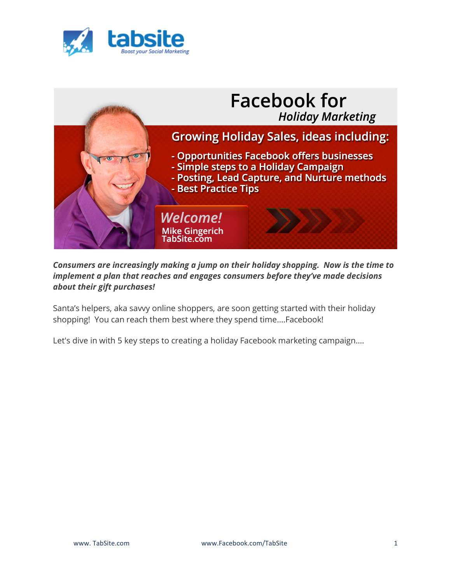



*Consumers are increasingly making a jump on their holiday shopping. Now is the time to implement a plan that reaches and engages consumers before they've made decisions about their gift purchases!*

Santa's helpers, aka savvy online shoppers, are soon getting started with their holiday shopping! You can reach them best where they spend time….Facebook!

Let's dive in with 5 key steps to creating a holiday Facebook marketing campaign….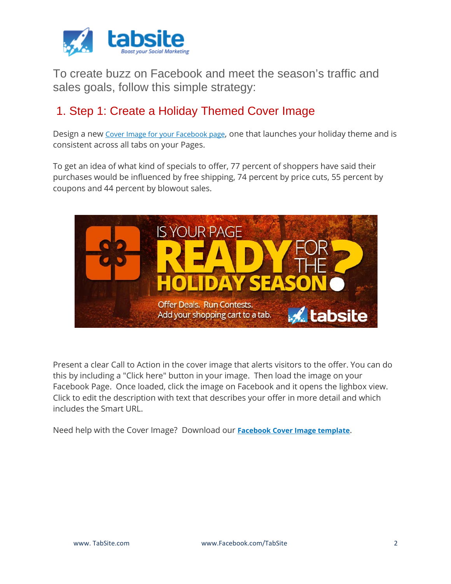

To create buzz on Facebook and meet the season's traffic and sales goals, follow this simple strategy:

## 1. Step 1: Create a Holiday Themed Cover Image

Design a new [Cover Image for your Facebook page,](https://tabsite.com/blog/facebook-updates-cover-image-guidelines-20-percent-no-longer-in-effect/) one that launches your holiday theme and is consistent across all tabs on your Pages.

To get an idea of what kind of specials to offer, 77 percent of shoppers have said their purchases would be influenced by free shipping, 74 percent by price cuts, 55 percent by coupons and 44 percent by blowout sales.



Present a clear Call to Action in the cover image that alerts visitors to the offer. You can do this by including a "Click here" button in your image. Then load the image on your Facebook Page. Once loaded, click the image on Facebook and it opens the lighbox view. Click to edit the description with text that describes your offer in more detail and which includes the Smart URL.

Need help with the Cover Image? Download our **[Facebook Cover Image template](https://tabsite.com/blog/facebook-cover-image-powerpoint-design-template-for-pages/)**.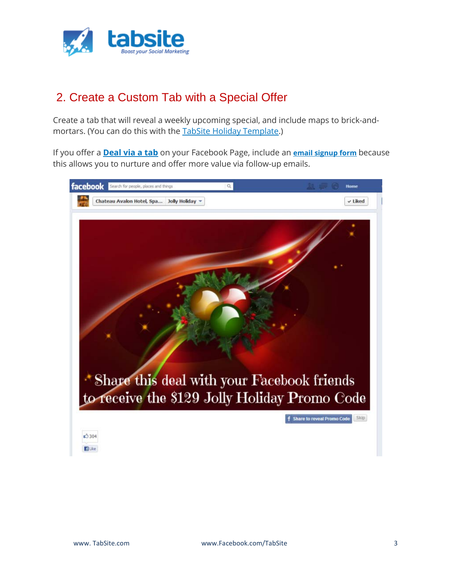

## 2. Create a Custom Tab with a Special Offer

Create a tab that will reveal a weekly upcoming special, and include maps to brick-andmortars. (You can do this with the [TabSite Holiday Template.](http://www.tabsite.com/gallery))

If you offer a **[Deal via a tab](https://tabsite.com/blog/deal-apps-from-tabsite/)** on your Facebook Page, include an **[email signup form](https://mikegingerich.com/how-to-grow-your-email-list-with-facebook-contests/)** because this allows you to nurture and offer more value via follow-up emails.

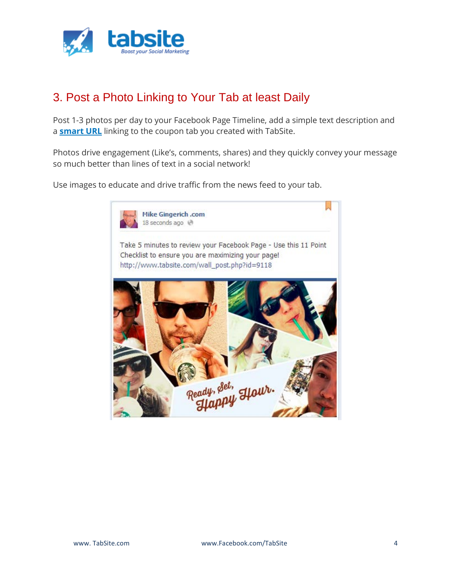

# 3. Post a Photo Linking to Your Tab at least Daily

Post 1-3 photos per day to your Facebook Page Timeline, add a simple text description and a **[smart URL](https://tabsite.com/blog/mobile-solution-for-facebook-page-tabs/)** linking to the coupon tab you created with TabSite.

Photos drive engagement (Like's, comments, shares) and they quickly convey your message so much better than lines of text in a social network!

Use images to educate and drive traffic from the news feed to your tab.

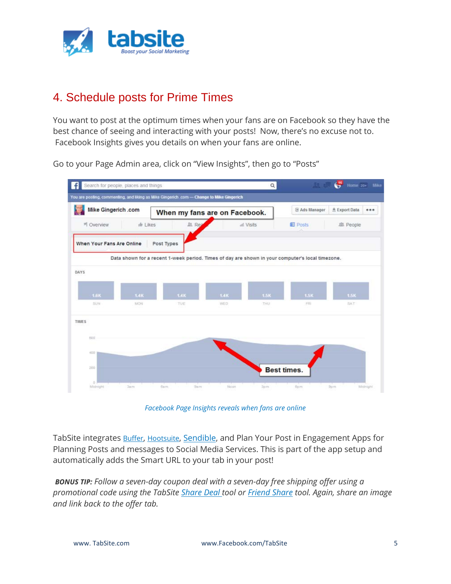

## 4. Schedule posts for Prime Times

You want to post at the optimum times when your fans are on Facebook so they have the best chance of seeing and interacting with your posts! Now, there's no excuse not to. Facebook Insights gives you details on when your fans are online.

Go to your Page Admin area, click on "View Insights", then go to "Posts"



*Facebook Page Insights reveals when fans are online*

TabSite integrates **[Buffer,](https://tabsite.com/blog/buffer-integration-buffer-your-facebook-page-tabsite-promo-tabs/) [Hootsuite,](https://tabsite.com/blog/tabsite-integrates-hootsuite-into-facebook-page-promotion-management/) Sendible**, and Plan Your Post in Engagement Apps for Planning Posts and messages to Social Media Services. This is part of the app setup and automatically adds the Smart URL to your tab in your post!

*BONUS TIP: Follow a seven-day coupon deal with a seven-day free shipping offer using a promotional code using the TabSite [Share Deal](http://blog.tabsite.com/Share-Deal/) tool or [Friend Share](http://blog.tabsite.com/Friend-Share/post/642/TabSite-Releases-New-Friend-Share-Engagement-App) tool. Again, share an image and link back to the offer tab.*